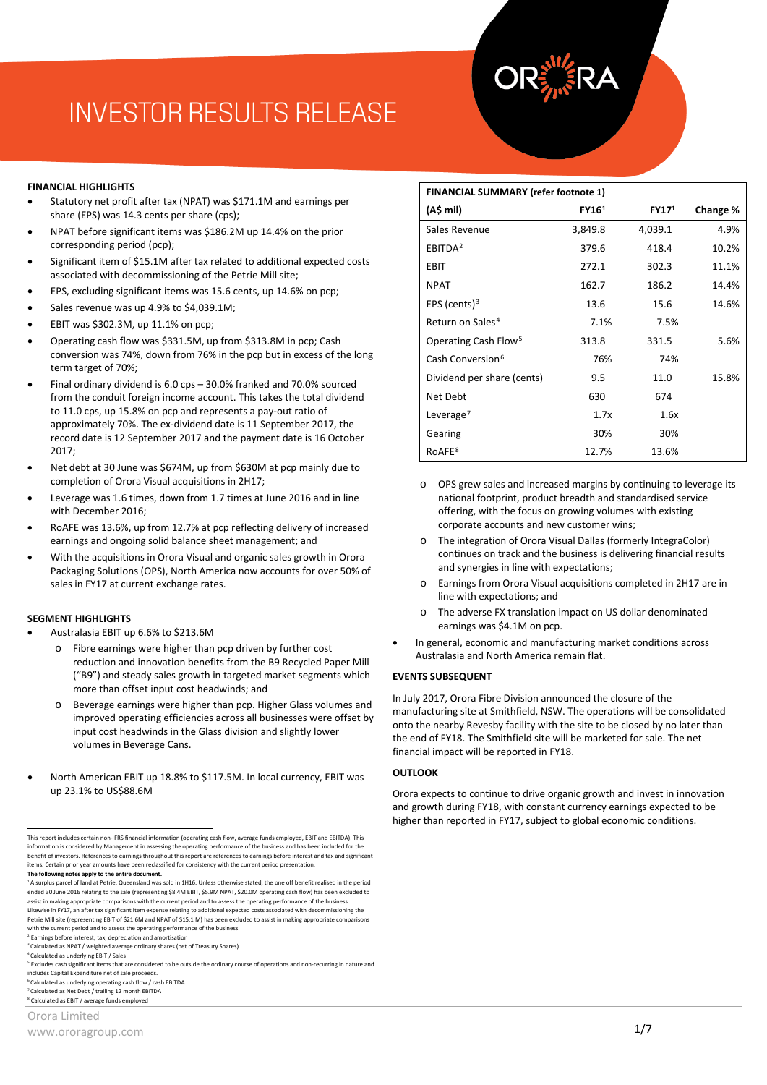# **INVESTOR RESULTS RELEASE**

**Orora announces results for the full year ended 30 June 2017**

#### **FINANCIAL HIGHLIGHTS**

- Statutory net profit after tax (NPAT) was \$171.1M and earnings per share (EPS) was 14.3 cents per share (cps);
- NPAT before significant items was \$186.2M up 14.4% on the prior corresponding period (pcp);
- Significant item of \$15.1M after tax related to additional expected costs associated with decommissioning of the Petrie Mill site;
- EPS, excluding significant items was 15.6 cents, up 14.6% on pcp;
- Sales revenue was up 4.9% to \$4.039.1M;
- EBIT was \$302.3M, up 11.1% on pcp;
- Operating cash flow was \$331.5M, up from \$313.8M in pcp; Cash conversion was 74%, down from 76% in the pcp but in excess of the long term target of 70%;
- Final ordinary dividend is 6.0 cps 30.0% franked and 70.0% sourced from the conduit foreign income account. This takes the total dividend to 11.0 cps, up 15.8% on pcp and represents a pay-out ratio of approximately 70%. The ex-dividend date is 11 September 2017, the record date is 12 September 2017 and the payment date is 16 October 2017;
- Net debt at 30 June was \$674M, up from \$630M at pcp mainly due to completion of Orora Visual acquisitions in 2H17;
- Leverage was 1.6 times, down from 1.7 times at June 2016 and in line with December 2016;
- RoAFE was 13.6%, up from 12.7% at pcp reflecting delivery of increased earnings and ongoing solid balance sheet management; and
- With the acquisitions in Orora Visual and organic sales growth in Orora Packaging Solutions (OPS), North America now accounts for over 50% of sales in FY17 at current exchange rates.

#### **SEGMENT HIGHLIGHTS**

- Australasia EBIT up 6.6% to \$213.6M
	- Fibre earnings were higher than pcp driven by further cost reduction and innovation benefits from the B9 Recycled Paper Mill ("B9") and steady sales growth in targeted market segments which more than offset input cost headwinds; and
	- Beverage earnings were higher than pcp. Higher Glass volumes and improved operating efficiencies across all businesses were offset by input cost headwinds in the Glass division and slightly lower volumes in Beverage Cans.
- North American EBIT up 18.8% to \$117.5M. In local currency, EBIT was up 23.1% to US\$88.6M

<span id="page-0-5"></span><sup>6</sup> Calculated as underlying operating cash flow / cash EBITDA

<span id="page-0-6"></span><sup>7</sup> Calculated as Net Debt / trailing 12 month EBITDA <sup>8</sup> Calculated as EBIT / average funds employed

<span id="page-0-7"></span>Orora Limited

# **FINANCIAL SUMMARY (refer footnote 1)**

| (A\$ mil)                        | FY16 <sup>1</sup> | FY17 <sup>1</sup> | Change % |
|----------------------------------|-------------------|-------------------|----------|
| Sales Revenue                    | 3,849.8           | 4,039.1           | 4.9%     |
| EBITDA <sup>2</sup>              | 379.6             | 418.4             | 10.2%    |
| EBIT                             | 272.1             | 302.3             | 11.1%    |
| <b>NPAT</b>                      | 162.7             | 186.2             | 14.4%    |
| EPS (cents) $3$                  | 13.6              | 15.6              | 14.6%    |
| Return on Sales <sup>4</sup>     | 7.1%              | 7.5%              |          |
| Operating Cash Flow <sup>5</sup> | 313.8             | 331.5             | 5.6%     |
| Cash Conversion <sup>6</sup>     | 76%               | 74%               |          |
| Dividend per share (cents)       | 9.5               | 11.0              | 15.8%    |
| Net Debt                         | 630               | 674               |          |
| Leverage <sup>7</sup>            | 1.7x              | 1.6x              |          |
| Gearing                          | 30%               | 30%               |          |
| RoAFE <sup>8</sup>               | 12.7%             | 13.6%             |          |

- o OPS grew sales and increased margins by continuing to leverage its national footprint, product breadth and standardised service offering, with the focus on growing volumes with existing corporate accounts and new customer wins;
- o The integration of Orora Visual Dallas (formerly IntegraColor) continues on track and the business is delivering financial results and synergies in line with expectations;
- o Earnings from Orora Visual acquisitions completed in 2H17 are in line with expectations; and
- o The adverse FX translation impact on US dollar denominated earnings was \$4.1M on pcp.
- In general, economic and manufacturing market conditions across Australasia and North America remain flat.

### **EVENTS SUBSEQUENT**

In July 2017, Orora Fibre Division announced the closure of the manufacturing site at Smithfield, NSW. The operations will be consolidated onto the nearby Revesby facility with the site to be closed by no later than the end of FY18. The Smithfield site will be marketed for sale. The net financial impact will be reported in FY18.

#### **OUTLOOK**

Orora expects to continue to drive organic growth and invest in innovation and growth during FY18, with constant currency earnings expected to be higher than reported in FY17, subject to global economic conditions.

<span id="page-0-0"></span>This report includes certain non-IFRS financial information (operating cash flow, average funds employed, EBIT and EBITDA). This information is considered by Management in assessing the operating performance of the business and has been included for the benefit of investors. References to earnings throughout this report are references to earnings before interest and tax and significant items. Certain prior year amounts have been reclassified for consistency with the current period presentation.

**The following notes apply to the entire document.**<br><sup>1</sup> A surplus parcel of land at Petrie, Queensland was sold in 1H16. Unless otherwise stated, the one off benefit realised in the period ended 30 June 2016 relating to the sale (representing \$8.4M EBIT, \$5.9M NPAT, \$20.0M operating cash flow) has been excluded to<br>assist in making appropriate comparisons with the current period and to assess the operating pe Likewise in FY17, an after tax significant item expense relating to additional expected costs associated with decommissioning the Petrie Mill site (representing EBIT of \$21.6M and NPAT of \$15.1 M) has been excluded to assist in making appropriate comparisons with the current period and to assess the operating performance of the business

<span id="page-0-1"></span> $2$  Earnings before interest, tax, depreciation and amortisation

<sup>&</sup>lt;sup>3</sup> Calculated as NPAT / weighted average ordinary shares (net of Treasury Shares)<br><sup>4</sup> Calculated as underlying EBIT / Sales

<span id="page-0-3"></span><span id="page-0-2"></span>

<span id="page-0-4"></span><sup>&</sup>lt;sup>5</sup> Excludes cash significant items that are considered to be outside the ordinary course of operations and non-recurring in nature and<br>includes Capital Expenditure net of sale proceeds.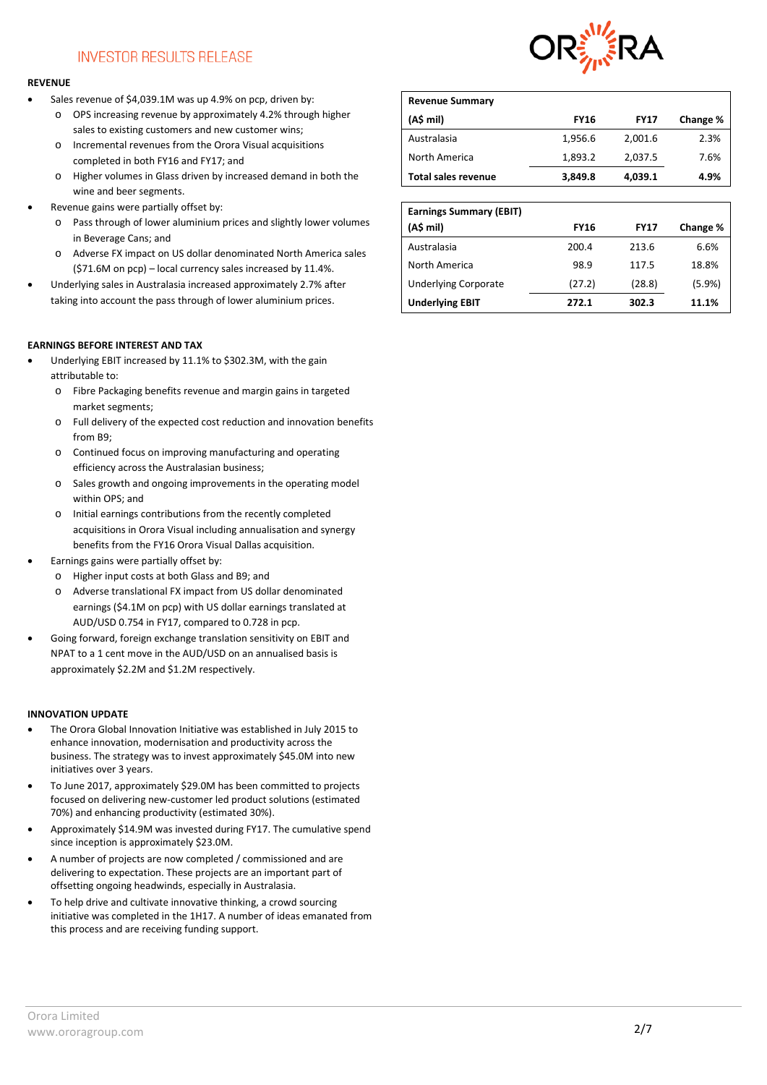## **INVESTOR RESULTS RELEASE**

### **REVENUE**

- Sales revenue of \$4,039.1M was up 4.9% on pcp, driven by:
	- o OPS increasing revenue by approximately 4.2% through higher sales to existing customers and new customer wins;
	- o Incremental revenues from the Orora Visual acquisitions completed in both FY16 and FY17; and
	- o Higher volumes in Glass driven by increased demand in both the wine and beer segments.
- Revenue gains were partially offset by:
	- o Pass through of lower aluminium prices and slightly lower volumes in Beverage Cans; and
	- o Adverse FX impact on US dollar denominated North America sales (\$71.6M on pcp) – local currency sales increased by 11.4%.
- Underlying sales in Australasia increased approximately 2.7% after taking into account the pass through of lower aluminium prices.

## **EARNINGS BEFORE INTEREST AND TAX**

- Underlying EBIT increased by 11.1% to \$302.3M, with the gain attributable to:
	- o Fibre Packaging benefits revenue and margin gains in targeted market segments;
	- o Full delivery of the expected cost reduction and innovation benefits from B9;
	- o Continued focus on improving manufacturing and operating efficiency across the Australasian business;
	- o Sales growth and ongoing improvements in the operating model within OPS; and
	- o Initial earnings contributions from the recently completed acquisitions in Orora Visual including annualisation and synergy benefits from the FY16 Orora Visual Dallas acquisition.
- Earnings gains were partially offset by:
	- o Higher input costs at both Glass and B9; and
	- o Adverse translational FX impact from US dollar denominated earnings (\$4.1M on pcp) with US dollar earnings translated at AUD/USD 0.754 in FY17, compared to 0.728 in pcp.
- Going forward, foreign exchange translation sensitivity on EBIT and NPAT to a 1 cent move in the AUD/USD on an annualised basis is approximately \$2.2M and \$1.2M respectively.

### **INNOVATION UPDATE**

- The Orora Global Innovation Initiative was established in July 2015 to enhance innovation, modernisation and productivity across the business. The strategy was to invest approximately \$45.0M into new initiatives over 3 years.
- To June 2017, approximately \$29.0M has been committed to projects focused on delivering new-customer led product solutions (estimated 70%) and enhancing productivity (estimated 30%).
- Approximately \$14.9M was invested during FY17. The cumulative spend since inception is approximately \$23.0M.
- A number of projects are now completed / commissioned and are delivering to expectation. These projects are an important part of offsetting ongoing headwinds, especially in Australasia.
- To help drive and cultivate innovative thinking, a crowd sourcing initiative was completed in the 1H17. A number of ideas emanated from this process and are receiving funding support.



| <b>Revenue Summary</b>     |             |             |          |
|----------------------------|-------------|-------------|----------|
| (A\$ mil)                  | <b>FY16</b> | <b>FY17</b> | Change % |
| Australasia                | 1,956.6     | 2,001.6     | 2.3%     |
| North America              | 1,893.2     | 2,037.5     | 7.6%     |
| <b>Total sales revenue</b> | 3,849.8     | 4,039.1     | 4.9%     |

| <b>Earnings Summary (EBIT)</b> |             |             |          |
|--------------------------------|-------------|-------------|----------|
| (A\$ mil)                      | <b>FY16</b> | <b>FY17</b> | Change % |
| Australasia                    | 200.4       | 213.6       | 6.6%     |
| North America                  | 98.9        | 117.5       | 18.8%    |
| <b>Underlying Corporate</b>    | (27.2)      | (28.8)      | (5.9%)   |
| <b>Underlying EBIT</b>         | 272.1       | 302.3       | 11.1%    |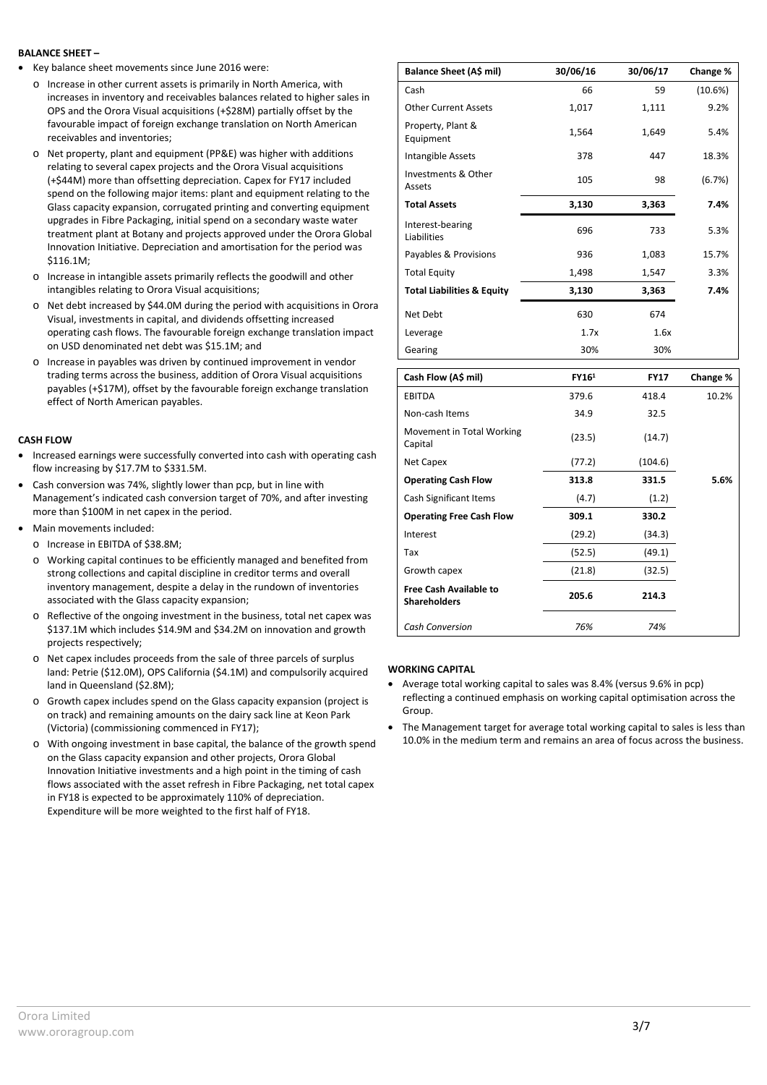### **BALANCE SHEET –**

- Key balance sheet movements since June 2016 were:
	- $\circ$  Increase in other current assets is primarily in North America, with increases in inventory and receivables balances related to higher sales in OPS and the Orora Visual acquisitions (+\$28M) partially offset by the favourable impact of foreign exchange translation on North American receivables and inventories;
	- o Net property, plant and equipment (PP&E) was higher with additions relating to several capex projects and the Orora Visual acquisitions (+\$44M) more than offsetting depreciation. Capex for FY17 included spend on the following major items: plant and equipment relating to the Glass capacity expansion, corrugated printing and converting equipment upgrades in Fibre Packaging, initial spend on a secondary waste water treatment plant at Botany and projects approved under the Orora Global Innovation Initiative. Depreciation and amortisation for the period was \$116.1M;
	- o Increase in intangible assets primarily reflects the goodwill and other intangibles relating to Orora Visual acquisitions;
	- o Net debt increased by \$44.0M during the period with acquisitions in Orora Visual, investments in capital, and dividends offsetting increased operating cash flows. The favourable foreign exchange translation impact on USD denominated net debt was \$15.1M; and
	- o Increase in payables was driven by continued improvement in vendor trading terms across the business, addition of Orora Visual acquisitions payables (+\$17M), offset by the favourable foreign exchange translation effect of North American payables.

### **CASH FLOW**

- Increased earnings were successfully converted into cash with operating cash flow increasing by \$17.7M to \$331.5M.
- Cash conversion was 74%, slightly lower than pcp, but in line with Management's indicated cash conversion target of 70%, and after investing more than \$100M in net capex in the period.
- Main movements included:
	- o Increase in EBITDA of \$38.8M;
	- o Working capital continues to be efficiently managed and benefited from strong collections and capital discipline in creditor terms and overall inventory management, despite a delay in the rundown of inventories associated with the Glass capacity expansion;
	- $\circ$  Reflective of the ongoing investment in the business, total net capex was \$137.1M which includes \$14.9M and \$34.2M on innovation and growth projects respectively;
	- o Net capex includes proceeds from the sale of three parcels of surplus land: Petrie (\$12.0M), OPS California (\$4.1M) and compulsorily acquired land in Queensland (\$2.8M);
	- o Growth capex includes spend on the Glass capacity expansion (project is on track) and remaining amounts on the dairy sack line at Keon Park (Victoria) (commissioning commenced in FY17);
	- o With ongoing investment in base capital, the balance of the growth spend on the Glass capacity expansion and other projects, Orora Global Innovation Initiative investments and a high point in the timing of cash flows associated with the asset refresh in Fibre Packaging, net total capex in FY18 is expected to be approximately 110% of depreciation. Expenditure will be more weighted to the first half of FY18.

| Balance Sheet (A\$ mil)               | 30/06/16 | 30/06/17 | Change % |
|---------------------------------------|----------|----------|----------|
| Cash                                  | 66       | 59       | (10.6%)  |
| <b>Other Current Assets</b>           | 1,017    | 1,111    | 9.2%     |
| Property, Plant &<br>Equipment        | 1,564    | 1,649    | 5.4%     |
| Intangible Assets                     | 378      | 447      | 18.3%    |
| Investments & Other<br>Assets         | 105      | 98       | (6.7%)   |
| <b>Total Assets</b>                   | 3,130    | 3,363    | 7.4%     |
| Interest-bearing<br>Liabilities       | 696      | 733      | 5.3%     |
| Payables & Provisions                 | 936      | 1,083    | 15.7%    |
| <b>Total Equity</b>                   | 1,498    | 1,547    | 3.3%     |
| <b>Total Liabilities &amp; Equity</b> | 3,130    | 3,363    | 7.4%     |
| Net Debt                              | 630      | 674      |          |
| Leverage                              | 1.7x     | 1.6x     |          |
| Gearing                               | 30%      | 30%      |          |

| Cash Flow (A\$ mil)                                  | FY16 <sup>1</sup> | <b>FY17</b> | Change % |
|------------------------------------------------------|-------------------|-------------|----------|
| <b>EBITDA</b>                                        | 379.6             | 418.4       | 10.2%    |
| Non-cash Items                                       | 34.9              | 32.5        |          |
| Movement in Total Working<br>Capital                 | (23.5)            | (14.7)      |          |
| Net Capex                                            | (77.2)            | (104.6)     |          |
| <b>Operating Cash Flow</b>                           | 313.8             | 331.5       | 5.6%     |
| Cash Significant Items                               | (4.7)             | (1.2)       |          |
| <b>Operating Free Cash Flow</b>                      | 309.1             | 330.2       |          |
| Interest                                             | (29.2)            | (34.3)      |          |
| Tax                                                  | (52.5)            | (49.1)      |          |
| Growth capex                                         | (21.8)            | (32.5)      |          |
| <b>Free Cash Available to</b><br><b>Shareholders</b> | 205.6             | 214.3       |          |
| Cash Conversion                                      | 76%               | 74%         |          |

### **WORKING CAPITAL**

- Average total working capital to sales was 8.4% (versus 9.6% in pcp) reflecting a continued emphasis on working capital optimisation across the Group.
- The Management target for average total working capital to sales is less than 10.0% in the medium term and remains an area of focus across the business.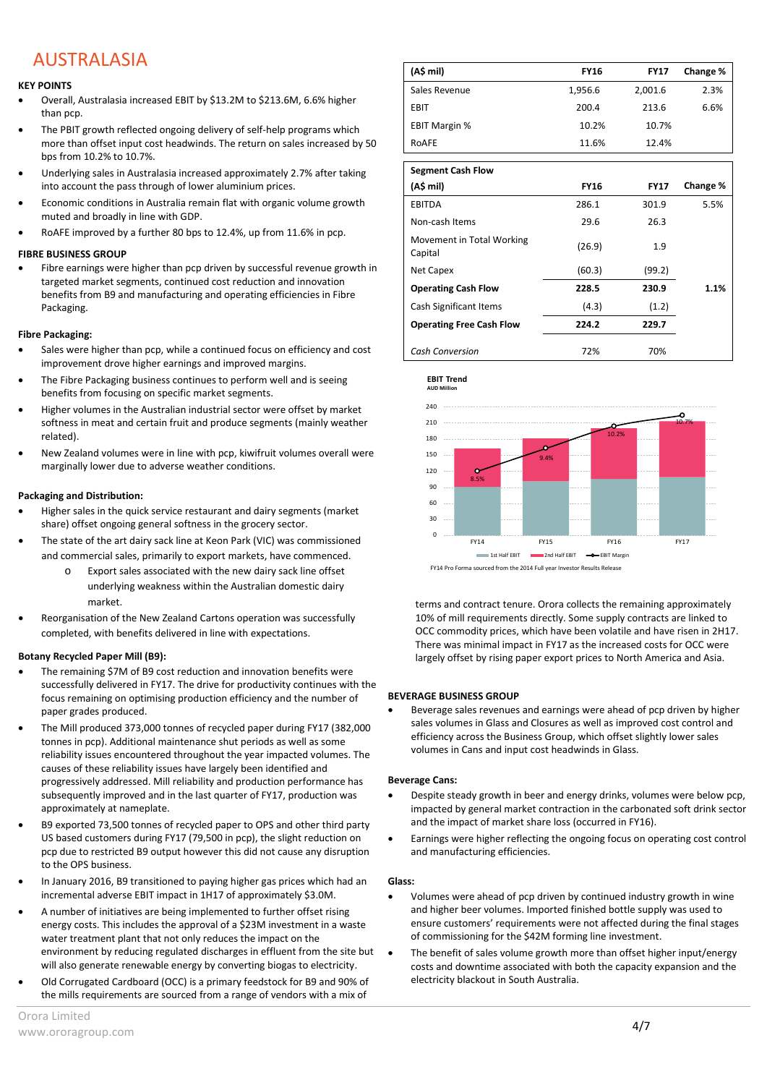## AUSTRALASIA

## **KEY POINTS**

- Overall, Australasia increased EBIT by \$13.2M to \$213.6M, 6.6% higher than pcp.
- The PBIT growth reflected ongoing delivery of self-help programs which more than offset input cost headwinds. The return on sales increased by 50 bps from 10.2% to 10.7%.
- Underlying sales in Australasia increased approximately 2.7% after taking into account the pass through of lower aluminium prices.
- Economic conditions in Australia remain flat with organic volume growth muted and broadly in line with GDP.
- RoAFE improved by a further 80 bps to 12.4%, up from 11.6% in pcp.

## **FIBRE BUSINESS GROUP**

• Fibre earnings were higher than pcp driven by successful revenue growth in targeted market segments, continued cost reduction and innovation benefits from B9 and manufacturing and operating efficiencies in Fibre Packaging.

## **Fibre Packaging:**

- Sales were higher than pcp, while a continued focus on efficiency and cost improvement drove higher earnings and improved margins.
- The Fibre Packaging business continues to perform well and is seeing benefits from focusing on specific market segments.
- Higher volumes in the Australian industrial sector were offset by market softness in meat and certain fruit and produce segments (mainly weather related).
- New Zealand volumes were in line with pcp, kiwifruit volumes overall were marginally lower due to adverse weather conditions.

## **Packaging and Distribution:**

- Higher sales in the quick service restaurant and dairy segments (market share) offset ongoing general softness in the grocery sector.
- The state of the art dairy sack line at Keon Park (VIC) was commissioned and commercial sales, primarily to export markets, have commenced.
	- Export sales associated with the new dairy sack line offset underlying weakness within the Australian domestic dairy market.
- Reorganisation of the New Zealand Cartons operation was successfully completed, with benefits delivered in line with expectations.

## **Botany Recycled Paper Mill (B9):**

- The remaining \$7M of B9 cost reduction and innovation benefits were successfully delivered in FY17. The drive for productivity continues with the focus remaining on optimising production efficiency and the number of paper grades produced.
- The Mill produced 373,000 tonnes of recycled paper during FY17 (382,000 tonnes in pcp). Additional maintenance shut periods as well as some reliability issues encountered throughout the year impacted volumes. The causes of these reliability issues have largely been identified and progressively addressed. Mill reliability and production performance has subsequently improved and in the last quarter of FY17, production was approximately at nameplate.
- B9 exported 73,500 tonnes of recycled paper to OPS and other third party US based customers during FY17 (79,500 in pcp), the slight reduction on pcp due to restricted B9 output however this did not cause any disruption to the OPS business.
- In January 2016, B9 transitioned to paying higher gas prices which had an incremental adverse EBIT impact in 1H17 of approximately \$3.0M.
- A number of initiatives are being implemented to further offset rising energy costs. This includes the approval of a \$23M investment in a waste water treatment plant that not only reduces the impact on the environment by reducing regulated discharges in effluent from the site but will also generate renewable energy by converting biogas to electricity.
- Old Corrugated Cardboard (OCC) is a primary feedstock for B9 and 90% of the mills requirements are sourced from a range of vendors with a mix of

| (A\$ mil)            | <b>FY16</b> | <b>FY17</b> | Change % |
|----------------------|-------------|-------------|----------|
| Sales Revenue        | 1,956.6     | 2,001.6     | 2.3%     |
| EBIT                 | 200.4       | 213.6       | 6.6%     |
| <b>EBIT Margin %</b> | 10.2%       | 10.7%       |          |
| ROAFE                | 11.6%       | 12.4%       |          |

| <b>Segment Cash Flow</b>             |             |             |          |
|--------------------------------------|-------------|-------------|----------|
| (A\$ mil)                            | <b>FY16</b> | <b>FY17</b> | Change % |
| <b>EBITDA</b>                        | 286.1       | 301.9       | 5.5%     |
| Non-cash Items                       | 29.6        | 26.3        |          |
| Movement in Total Working<br>Capital | (26.9)      | 1.9         |          |
| Net Capex                            | (60.3)      | (99.2)      |          |
| <b>Operating Cash Flow</b>           | 228.5       | 230.9       | 1.1%     |
| Cash Significant Items               | (4.3)       | (1.2)       |          |
| <b>Operating Free Cash Flow</b>      | 224.2       | 229.7       |          |
| <b>Cash Conversion</b>               | 72%         | 70%         |          |



terms and contract tenure. Orora collects the remaining approximately 10% of mill requirements directly. Some supply contracts are linked to OCC commodity prices, which have been volatile and have risen in 2H17. There was minimal impact in FY17 as the increased costs for OCC were largely offset by rising paper export prices to North America and Asia.

## **BEVERAGE BUSINESS GROUP**

• Beverage sales revenues and earnings were ahead of pcp driven by higher sales volumes in Glass and Closures as well as improved cost control and efficiency across the Business Group, which offset slightly lower sales volumes in Cans and input cost headwinds in Glass.

## **Beverage Cans:**

- Despite steady growth in beer and energy drinks, volumes were below pcp, impacted by general market contraction in the carbonated soft drink sector and the impact of market share loss (occurred in FY16).
- Earnings were higher reflecting the ongoing focus on operating cost control and manufacturing efficiencies.

## **Glass:**

- Volumes were ahead of pcp driven by continued industry growth in wine and higher beer volumes. Imported finished bottle supply was used to ensure customers' requirements were not affected during the final stages of commissioning for the \$42M forming line investment.
- The benefit of sales volume growth more than offset higher input/energy costs and downtime associated with both the capacity expansion and the electricity blackout in South Australia.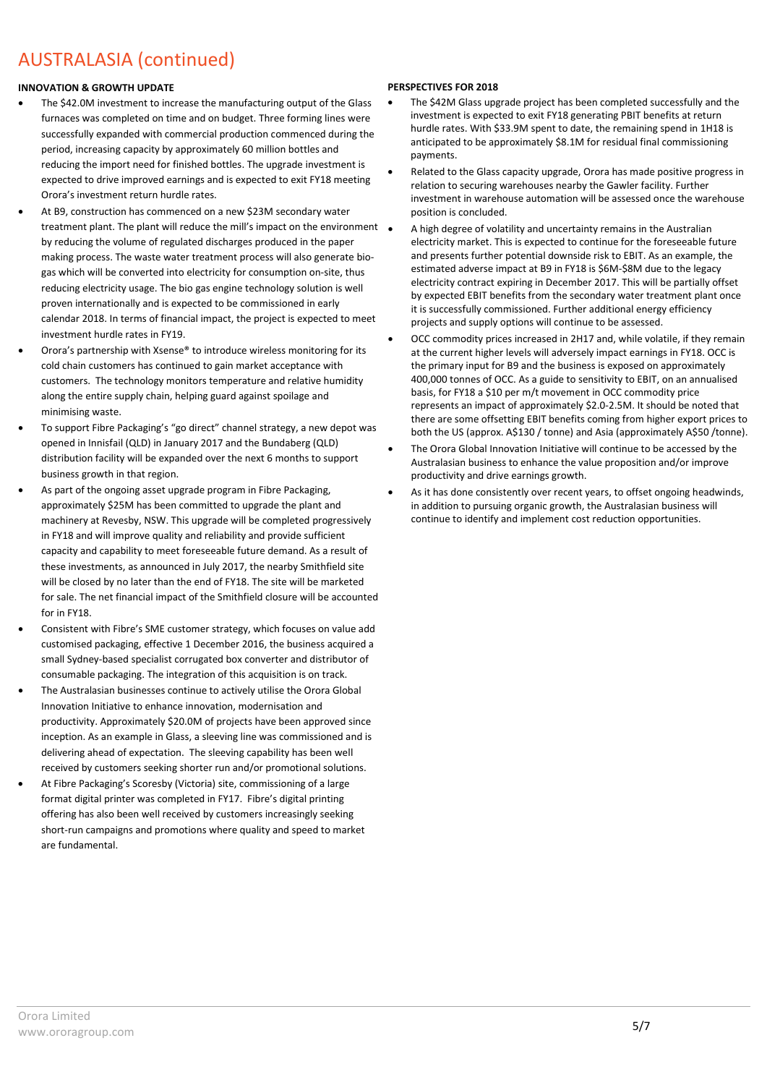## AUSTRALASIA (continued)

## **INNOVATION & GROWTH UPDATE**

- The \$42.0M investment to increase the manufacturing output of the Glass furnaces was completed on time and on budget. Three forming lines were successfully expanded with commercial production commenced during the period, increasing capacity by approximately 60 million bottles and reducing the import need for finished bottles. The upgrade investment is expected to drive improved earnings and is expected to exit FY18 meeting Orora's investment return hurdle rates.
- At B9, construction has commenced on a new \$23M secondary water treatment plant. The plant will reduce the mill's impact on the environment by reducing the volume of regulated discharges produced in the paper making process. The waste water treatment process will also generate biogas which will be converted into electricity for consumption on-site, thus reducing electricity usage. The bio gas engine technology solution is well proven internationally and is expected to be commissioned in early calendar 2018. In terms of financial impact, the project is expected to meet investment hurdle rates in FY19.
- Orora's partnership with Xsense® to introduce wireless monitoring for its cold chain customers has continued to gain market acceptance with customers. The technology monitors temperature and relative humidity along the entire supply chain, helping guard against spoilage and minimising waste.
- To support Fibre Packaging's "go direct" channel strategy, a new depot was opened in Innisfail (QLD) in January 2017 and the Bundaberg (QLD) distribution facility will be expanded over the next 6 months to support business growth in that region.
- As part of the ongoing asset upgrade program in Fibre Packaging, approximately \$25M has been committed to upgrade the plant and machinery at Revesby, NSW. This upgrade will be completed progressively in FY18 and will improve quality and reliability and provide sufficient capacity and capability to meet foreseeable future demand. As a result of these investments, as announced in July 2017, the nearby Smithfield site will be closed by no later than the end of FY18. The site will be marketed for sale. The net financial impact of the Smithfield closure will be accounted for in FY18.
- Consistent with Fibre's SME customer strategy, which focuses on value add customised packaging, effective 1 December 2016, the business acquired a small Sydney-based specialist corrugated box converter and distributor of consumable packaging. The integration of this acquisition is on track.
- The Australasian businesses continue to actively utilise the Orora Global Innovation Initiative to enhance innovation, modernisation and productivity. Approximately \$20.0M of projects have been approved since inception. As an example in Glass, a sleeving line was commissioned and is delivering ahead of expectation. The sleeving capability has been well received by customers seeking shorter run and/or promotional solutions.
- At Fibre Packaging's Scoresby (Victoria) site, commissioning of a large format digital printer was completed in FY17. Fibre's digital printing offering has also been well received by customers increasingly seeking short-run campaigns and promotions where quality and speed to market are fundamental.

## **PERSPECTIVES FOR 2018**

- The \$42M Glass upgrade project has been completed successfully and the investment is expected to exit FY18 generating PBIT benefits at return hurdle rates. With \$33.9M spent to date, the remaining spend in 1H18 is anticipated to be approximately \$8.1M for residual final commissioning payments.
- Related to the Glass capacity upgrade, Orora has made positive progress in relation to securing warehouses nearby the Gawler facility. Further investment in warehouse automation will be assessed once the warehouse position is concluded.
- A high degree of volatility and uncertainty remains in the Australian electricity market. This is expected to continue for the foreseeable future and presents further potential downside risk to EBIT. As an example, the estimated adverse impact at B9 in FY18 is \$6M-\$8M due to the legacy electricity contract expiring in December 2017. This will be partially offset by expected EBIT benefits from the secondary water treatment plant once it is successfully commissioned. Further additional energy efficiency projects and supply options will continue to be assessed.
- OCC commodity prices increased in 2H17 and, while volatile, if they remain at the current higher levels will adversely impact earnings in FY18. OCC is the primary input for B9 and the business is exposed on approximately 400,000 tonnes of OCC. As a guide to sensitivity to EBIT, on an annualised basis, for FY18 a \$10 per m/t movement in OCC commodity price represents an impact of approximately \$2.0-2.5M. It should be noted that there are some offsetting EBIT benefits coming from higher export prices to both the US (approx. A\$130 / tonne) and Asia (approximately A\$50 /tonne).
- The Orora Global Innovation Initiative will continue to be accessed by the Australasian business to enhance the value proposition and/or improve productivity and drive earnings growth.
- As it has done consistently over recent years, to offset ongoing headwinds, in addition to pursuing organic growth, the Australasian business will continue to identify and implement cost reduction opportunities.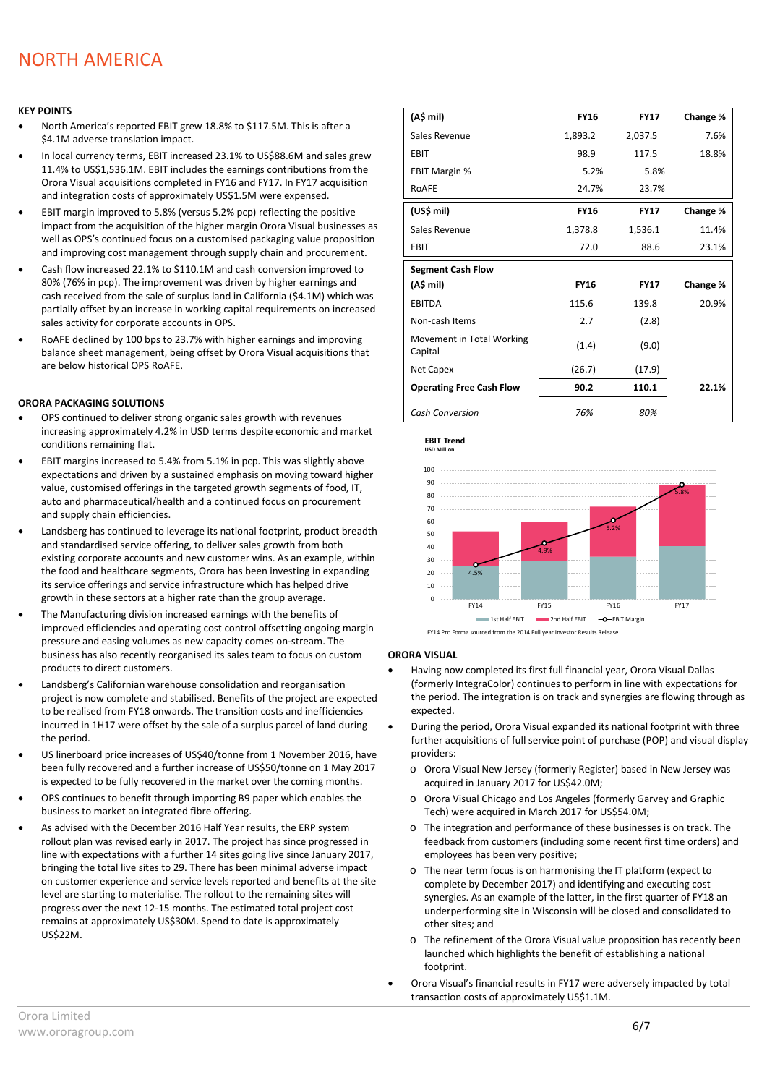## NORTH AMERICA

#### **KEY POINTS**

- North America's reported EBIT grew 18.8% to \$117.5M. This is after a \$4.1M adverse translation impact.
- In local currency terms, EBIT increased 23.1% to US\$88.6M and sales grew 11.4% to US\$1,536.1M. EBIT includes the earnings contributions from the Orora Visual acquisitions completed in FY16 and FY17. In FY17 acquisition and integration costs of approximately US\$1.5M were expensed.
- EBIT margin improved to 5.8% (versus 5.2% pcp) reflecting the positive impact from the acquisition of the higher margin Orora Visual businesses as well as OPS's continued focus on a customised packaging value proposition and improving cost management through supply chain and procurement.
- Cash flow increased 22.1% to \$110.1M and cash conversion improved to 80% (76% in pcp). The improvement was driven by higher earnings and cash received from the sale of surplus land in California (\$4.1M) which was partially offset by an increase in working capital requirements on increased sales activity for corporate accounts in OPS.
- RoAFE declined by 100 bps to 23.7% with higher earnings and improving balance sheet management, being offset by Orora Visual acquisitions that are below historical OPS RoAFE.

#### **ORORA PACKAGING SOLUTIONS**

- OPS continued to deliver strong organic sales growth with revenues increasing approximately 4.2% in USD terms despite economic and market conditions remaining flat.
- EBIT margins increased to 5.4% from 5.1% in pcp. This was slightly above expectations and driven by a sustained emphasis on moving toward higher value, customised offerings in the targeted growth segments of food, IT, auto and pharmaceutical/health and a continued focus on procurement and supply chain efficiencies.
- Landsberg has continued to leverage its national footprint, product breadth and standardised service offering, to deliver sales growth from both existing corporate accounts and new customer wins. As an example, within the food and healthcare segments, Orora has been investing in expanding its service offerings and service infrastructure which has helped drive growth in these sectors at a higher rate than the group average.
- The Manufacturing division increased earnings with the benefits of improved efficiencies and operating cost control offsetting ongoing margin pressure and easing volumes as new capacity comes on-stream. The business has also recently reorganised its sales team to focus on custom products to direct customers.
- Landsberg's Californian warehouse consolidation and reorganisation project is now complete and stabilised. Benefits of the project are expected to be realised from FY18 onwards. The transition costs and inefficiencies incurred in 1H17 were offset by the sale of a surplus parcel of land during the period.
- US linerboard price increases of US\$40/tonne from 1 November 2016, have been fully recovered and a further increase of US\$50/tonne on 1 May 2017 is expected to be fully recovered in the market over the coming months.
- OPS continues to benefit through importing B9 paper which enables the business to market an integrated fibre offering.
- As advised with the December 2016 Half Year results, the ERP system rollout plan was revised early in 2017. The project has since progressed in line with expectations with a further 14 sites going live since January 2017, bringing the total live sites to 29. There has been minimal adverse impact on customer experience and service levels reported and benefits at the site level are starting to materialise. The rollout to the remaining sites will progress over the next 12-15 months. The estimated total project cost remains at approximately US\$30M. Spend to date is approximately US\$22M.

| (A\$ mil)                            | <b>FY16</b> | <b>FY17</b> | Change % |
|--------------------------------------|-------------|-------------|----------|
| Sales Revenue                        | 1,893.2     | 2,037.5     | 7.6%     |
| EBIT                                 | 98.9        | 117.5       | 18.8%    |
| <b>EBIT Margin %</b>                 | 5.2%        | 5.8%        |          |
| ROAFE                                | 24.7%       | 23.7%       |          |
| (US\$ mil)                           | <b>FY16</b> | <b>FY17</b> | Change % |
| Sales Revenue                        | 1,378.8     | 1,536.1     | 11.4%    |
| EBIT                                 | 72.0        | 88.6        | 23.1%    |
| <b>Segment Cash Flow</b>             |             |             |          |
| (A\$ mil)                            | <b>FY16</b> | <b>FY17</b> | Change % |
| <b>EBITDA</b>                        | 115.6       | 139.8       | 20.9%    |
| Non-cash Items                       | 2.7         | (2.8)       |          |
| Movement in Total Working<br>Capital | (1.4)       | (9.0)       |          |
| Net Capex                            | (26.7)      | (17.9)      |          |
| <b>Operating Free Cash Flow</b>      | 90.2        | 110.1       | 22.1%    |
| <b>Cash Conversion</b>               | 76%         | 80%         |          |





#### **ORORA VISUAL**

**EBIT Trend**

- Having now completed its first full financial year, Orora Visual Dallas (formerly IntegraColor) continues to perform in line with expectations for the period. The integration is on track and synergies are flowing through as expected.
- During the period, Orora Visual expanded its national footprint with three further acquisitions of full service point of purchase (POP) and visual display providers:
	- o Orora Visual New Jersey (formerly Register) based in New Jersey was acquired in January 2017 for US\$42.0M;
	- o Orora Visual Chicago and Los Angeles (formerly Garvey and Graphic Tech) were acquired in March 2017 for US\$54.0M;
	- o The integration and performance of these businesses is on track. The feedback from customers (including some recent first time orders) and employees has been very positive;
	- o The near term focus is on harmonising the IT platform (expect to complete by December 2017) and identifying and executing cost synergies. As an example of the latter, in the first quarter of FY18 an underperforming site in Wisconsin will be closed and consolidated to other sites; and
	- o The refinement of the Orora Visual value proposition has recently been launched which highlights the benefit of establishing a national footprint.
- Orora Visual's financial results in FY17 were adversely impacted by total transaction costs of approximately US\$1.1M.